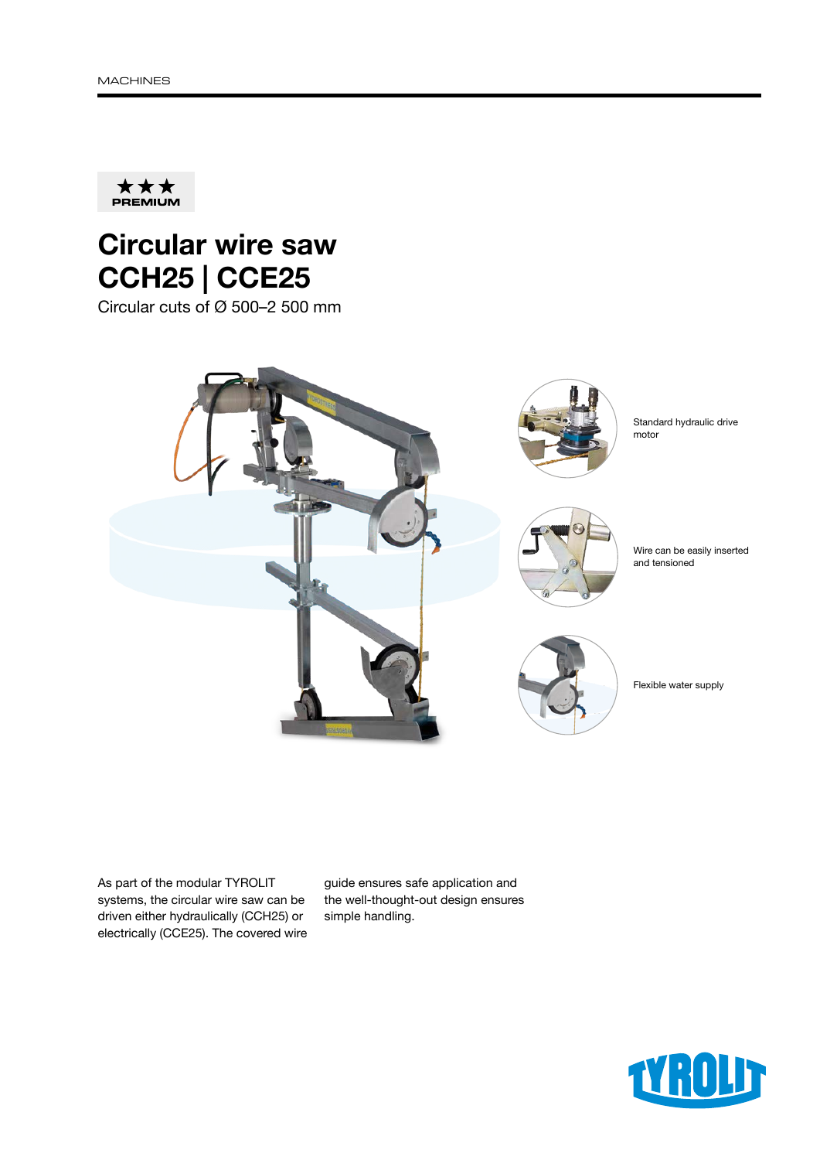

## Circular wire saw CCH25 | CCE25

Circular cuts of Ø 500–2 500 mm



As part of the modular TYROLIT systems, the circular wire saw can be driven either hydraulically (CCH25) or electrically (CCE25). The covered wire guide ensures safe application and the well-thought-out design ensures simple handling.